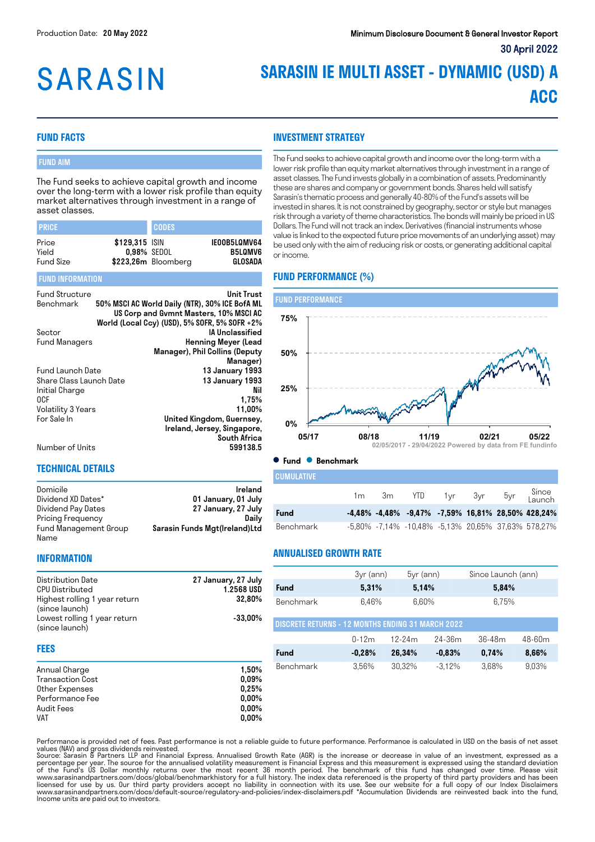# **SARASIN**

# **SARASIN IE MULTI ASSET - DYNAMIC (USD) A ACC**

#### **FUND FACTS**

#### FUND AIM

The Fund seeks to achieve capital growth and income over the long-term with a lower risk profile than equity market alternatives through investment in a range of asset classes.

| <b>PRICE</b>     |                               | <b>CODES</b>        |                                |
|------------------|-------------------------------|---------------------|--------------------------------|
| Price<br>Yield   | \$129.315 ISIN<br>0.98% SEDOL |                     | IE00B5L0MV64<br><b>B5LOMV6</b> |
| <b>Fund Size</b> |                               | \$223,26m Bloomberg | GLOSADA                        |

#### FUND INFORMATION

| <b>Fund Structure</b>   | Unit Trust                                     |
|-------------------------|------------------------------------------------|
| Benchmark               | 50% MSCI AC World Daily (NTR), 30% ICE BofA ML |
|                         | US Corp and Gymnt Masters, 10% MSCI AC         |
|                         | World (Local Ccy) (USD), 5% SOFR, 5% SOFR +2%  |
| Sector                  | IA Unclassified                                |
| <b>Fund Managers</b>    | <b>Henning Meyer (Lead</b>                     |
|                         | Manager), Phil Collins (Deputy                 |
|                         | Manager)                                       |
| Fund Launch Date        | 13 January 1993                                |
| Share Class Launch Date | 13 January 1993                                |
| Initial Charge          | Nil                                            |
| 0CF                     | 1,75%                                          |
| Volatility 3 Years      | 11.00%                                         |
| For Sale In             | United Kingdom, Guernsey,                      |
|                         | Ireland, Jersey, Singapore,                    |
|                         | <b>South Africa</b>                            |
| Number of Units         | 599138.5                                       |

Number of Units

#### **TECHNICAL DETAILS**

| Domicile              | Ireland                       |
|-----------------------|-------------------------------|
| Dividend XD Dates*    | 01 January, 01 July           |
| Dividend Pay Dates    | 27 January, 27 July           |
| Pricing Frequency     | Dailv                         |
| Fund Management Group | Sarasin Funds Mgt(Ireland)Ltd |
| Name                  |                               |

### **INVESTMENT STRATEGY**

The Fund seeks to achieve capital growth and income over the long-term with a lower risk profile than equity market alternatives through investment in a range of asset classes. The Fund invests globally in a combination of assets. Predominantly these are shares and company or government bonds. Shares held will satisfy Sarasin's thematic process and generally 40-80% of the Fund's assets will be invested in shares. It is not constrained by geography, sector or style but manages risk through a variety of theme characteristics. The bonds will mainly be priced in US Dollars. The Fund will not track an index. Derivatives (financial instruments whose value is linked to the expected future price movements of an underlying asset) may be used only with the aim of reducing risk or costs, or generating additional capital or income.

#### **FUND PERFORMANCE (%)**



#### **Fund Benchmark**

| I CUMULATIVE |                |                |  |                                                               |
|--------------|----------------|----------------|--|---------------------------------------------------------------|
|              | 1 <sub>m</sub> | 3m YTD 1yr 3yr |  | 5yr Since<br>Launch                                           |
| Fund         |                |                |  | $-4,48\%$ $-4,48\%$ $-9,47\%$ $-7,59\%$ 16,81% 28,50% 428,24% |
| Benchmark    |                |                |  | -5,80% -7,14% -10,48% -5,13% 20,65% 37,63% 578,27%            |

#### **INFORMATION**

| Distribution Date             | 27 January, 27 July |
|-------------------------------|---------------------|
| <b>CPU Distributed</b>        | <b>1.2568 USD</b>   |
| Highest rolling 1 year return | 32.80%              |
| (since launch)                |                     |
| Lowest rolling 1 year return  | $-33.00\%$          |
| (since launch)                |                     |

#### **FEES**

| Annual Charge           | 1.50%    |
|-------------------------|----------|
| <b>Transaction Cost</b> | 0.09%    |
| Other Expenses          | 0.25%    |
| Performance Fee         | $0.00\%$ |
| Audit Fees              | $0.00\%$ |
| <b>VAT</b>              | $0.00\%$ |

#### **ANNUALISED GROWTH RATE**

|             | 3yr (ann) | $5yr$ (ann) | Since Launch (ann) |
|-------------|-----------|-------------|--------------------|
| <b>Fund</b> | 5.31%     | 5.14%       | 5.84%              |
| Benchmark   | 6.46%     | 6.60%       | 6.75%              |

| DISCRETE RETURNS - 12 MONTHS ENDING 31 MARCH 2022 |           |          |           |        |        |  |  |
|---------------------------------------------------|-----------|----------|-----------|--------|--------|--|--|
|                                                   | $0 - 12m$ | $12-24m$ | 24-36m    | 36-48m | 48-60m |  |  |
| <b>Fund</b>                                       | $-0.28%$  | 26.34%   | $-0.83\%$ | 0.74%  | 8.66%  |  |  |
| Benchmark                                         | 3.56%     | 30.32%   | $-3.12%$  | 3.68%  | 9.03%  |  |  |

Performance is provided net of fees. Past performance is not a reliable guide to future performance. Performance is calculated in USD on the basis of net asset values (NAV) and gross dividends reinvested.<br>Source: Sarasin & Partners LLP and Financial Express. Annualised Growth Rate (AGR) is the increase or decrease in value of an investment, expressed as a

percentage per year. The source for the annualised volatility measurement is Financial Express and this measurement is expressed using the standard deviation of the Fund's US Dollar monthly returns over the most recent 36 month period. The benchmark of this fund has changed over time. Please visit<br>www.sarasinandpartners.com/docs/global/benchmarkhistory for a full history.The in Income units are paid out to investors.